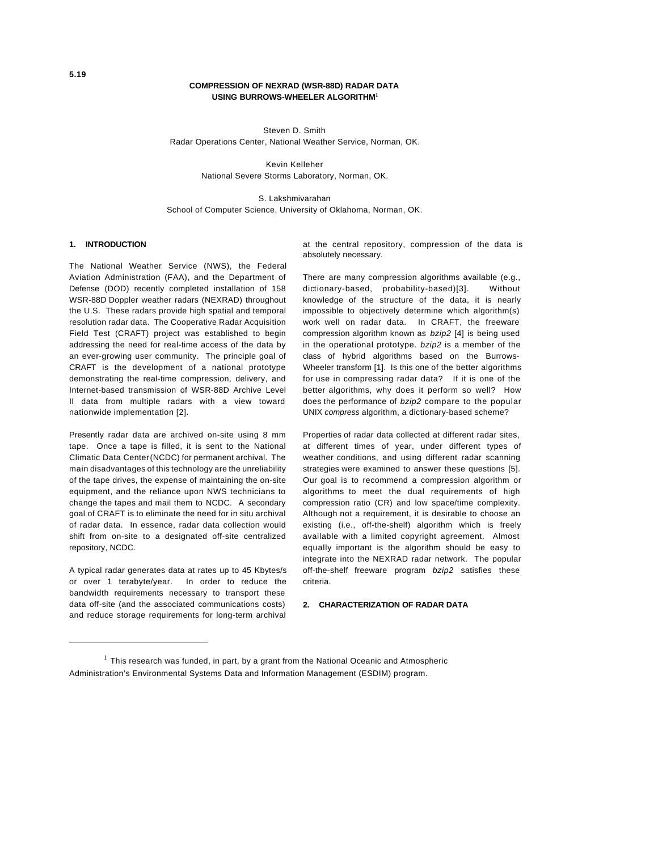## **COMPRESSION OF NEXRAD (WSR-88D) RADAR DATA USING BURROWS-WHEELER ALGORITHM<sup>1</sup>**

Steven D. Smith Radar Operations Center, National Weather Service, Norman, OK.

> Kevin Kelleher National Severe Storms Laboratory, Norman, OK.

S. Lakshmivarahan School of Computer Science, University of Oklahoma, Norman, OK.

# **1. INTRODUCTION**

The National Weather Service (NWS), the Federal Aviation Administration (FAA), and the Department of Defense (DOD) recently completed installation of 158 WSR-88D Doppler weather radars (NEXRAD) throughout the U.S. These radars provide high spatial and temporal resolution radar data. The Cooperative Radar Acquisition Field Test (CRAFT) project was established to begin addressing the need for real-time access of the data by an ever-growing user community. The principle goal of CRAFT is the development of a national prototype demonstrating the real-time compression, delivery, and Internet-based transmission of WSR-88D Archive Level II data from multiple radars with a view toward nationwide implementation [2].

Presently radar data are archived on-site using 8 mm tape. Once a tape is filled, it is sent to the National Climatic Data Center (NCDC) for permanent archival. The main disadvantages of this technology are the unreliability of the tape drives, the expense of maintaining the on-site equipment, and the reliance upon NWS technicians to change the tapes and mail them to NCDC. A secondary goal of CRAFT is to eliminate the need for in situ archival of radar data. In essence, radar data collection would shift from on-site to a designated off-site centralized repository, NCDC.

A typical radar generates data at rates up to 45 Kbytes/s or over 1 terabyte/year. In order to reduce the bandwidth requirements necessary to transport these data off-site (and the associated communications costs) and reduce storage requirements for long-term archival at the central repository, compression of the data is absolutely necessary.

There are many compression algorithms available (e.g., dictionary-based, probability-based)[3]. Without knowledge of the structure of the data, it is nearly impossible to objectively determine which algorithm(s) work well on radar data. In CRAFT, the freeware compression algorithm known as *bzip2* [4] is being used in the operational prototype. *bzip2* is a member of the class of hybrid algorithms based on the Burrows-Wheeler transform [1]. Is this one of the better algorithms for use in compressing radar data? If it is one of the better algorithms, why does it perform so well? How does the performance of *bzip2* compare to the popular UNIX *compress* algorithm, a dictionary-based scheme?

Properties of radar data collected at different radar sites, at different times of year, under different types of weather conditions, and using different radar scanning strategies were examined to answer these questions [5]. Our goal is to recommend a compression algorithm or algorithms to meet the dual requirements of high compression ratio (CR) and low space/time complexity. Although not a requirement, it is desirable to choose an existing (i.e., off-the-shelf) algorithm which is freely available with a limited copyright agreement. Almost equally important is the algorithm should be easy to integrate into the NEXRAD radar network. The popular off-the-shelf freeware program *bzip2* satisfies these criteria.

### **2. CHARACTERIZATION OF RADAR DATA**

 $<sup>1</sup>$  This research was funded, in part, by a grant from the National Oceanic and Atmospheric</sup> Administration's Environmental Systems Data and Information Management (ESDIM) program.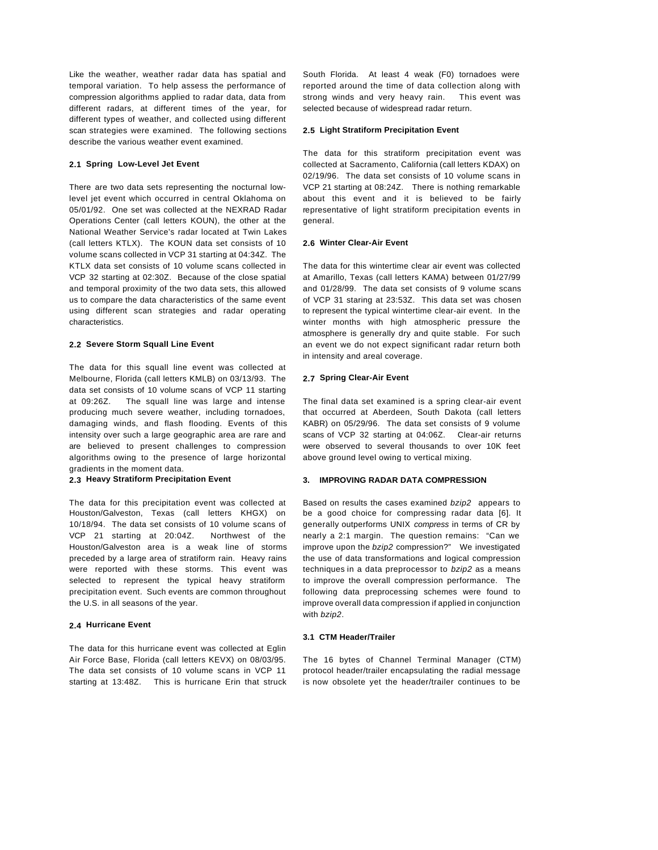Like the weather, weather radar data has spatial and temporal variation. To help assess the performance of compression algorithms applied to radar data, data from different radars, at different times of the year, for different types of weather, and collected using different scan strategies were examined. The following sections describe the various weather event examined.

# **2.1 Spring Low-Level Jet Event**

There are two data sets representing the nocturnal lowlevel jet event which occurred in central Oklahoma on 05/01/92. One set was collected at the NEXRAD Radar Operations Center (call letters KOUN), the other at the National Weather Service's radar located at Twin Lakes (call letters KTLX). The KOUN data set consists of 10 volume scans collected in VCP 31 starting at 04:34Z. The KTLX data set consists of 10 volume scans collected in VCP 32 starting at 02:30Z. Because of the close spatial and temporal proximity of the two data sets, this allowed us to compare the data characteristics of the same event using different scan strategies and radar operating characteristics.

### **2.2 Severe Storm Squall Line Event**

The data for this squall line event was collected at Melbourne, Florida (call letters KMLB) on 03/13/93. The data set consists of 10 volume scans of VCP 11 starting at 09:26Z. The squall line was large and intense producing much severe weather, including tornadoes, damaging winds, and flash flooding. Events of this intensity over such a large geographic area are rare and are believed to present challenges to compression algorithms owing to the presence of large horizontal gradients in the moment data.

## **2.3 Heavy Stratiform Precipitation Event**

The data for this precipitation event was collected at Houston/Galveston, Texas (call letters KHGX) on 10/18/94. The data set consists of 10 volume scans of VCP 21 starting at 20:04Z. Northwest of the Houston/Galveston area is a weak line of storms preceded by a large area of stratiform rain. Heavy rains were reported with these storms. This event was selected to represent the typical heavy stratiform precipitation event. Such events are common throughout the U.S. in all seasons of the year.

#### **2.4 Hurricane Event**

The data for this hurricane event was collected at Eglin Air Force Base, Florida (call letters KEVX) on 08/03/95. The data set consists of 10 volume scans in VCP 11 starting at 13:48Z. This is hurricane Erin that struck South Florida. At least 4 weak (F0) tornadoes were reported around the time of data collection along with strong winds and very heavy rain. This event was selected because of widespread radar return.

## **2.5 Light Stratiform Precipitation Event**

The data for this stratiform precipitation event was collected at Sacramento, California (call letters KDAX) on 02/19/96. The data set consists of 10 volume scans in VCP 21 starting at 08:24Z. There is nothing remarkable about this event and it is believed to be fairly representative of light stratiform precipitation events in general.

## **2.6 Winter Clear-Air Event**

The data for this wintertime clear air event was collected at Amarillo, Texas (call letters KAMA) between 01/27/99 and 01/28/99. The data set consists of 9 volume scans of VCP 31 staring at 23:53Z. This data set was chosen to represent the typical wintertime clear-air event. In the winter months with high atmospheric pressure the atmosphere is generally dry and quite stable. For such an event we do not expect significant radar return both in intensity and areal coverage.

### **2.7 Spring Clear-Air Event**

The final data set examined is a spring clear-air event that occurred at Aberdeen, South Dakota (call letters KABR) on 05/29/96. The data set consists of 9 volume scans of VCP 32 starting at 04:06Z. Clear-air returns were observed to several thousands to over 10K feet above ground level owing to vertical mixing.

## **3. IMPROVING RADAR DATA COMPRESSION**

Based on results the cases examined *bzip2* appears to be a good choice for compressing radar data [6]. It generally outperforms UNIX *compress* in terms of CR by nearly a 2:1 margin. The question remains: "Can we improve upon the *bzip2* compression?" We investigated the use of data transformations and logical compression techniques in a data preprocessor to *bzip2* as a means to improve the overall compression performance. The following data preprocessing schemes were found to improve overall data compression if applied in conjunction with *bzip2*.

## **3.1 CTM Header/Trailer**

The 16 bytes of Channel Terminal Manager (CTM) protocol header/trailer encapsulating the radial message is now obsolete yet the header/trailer continues to be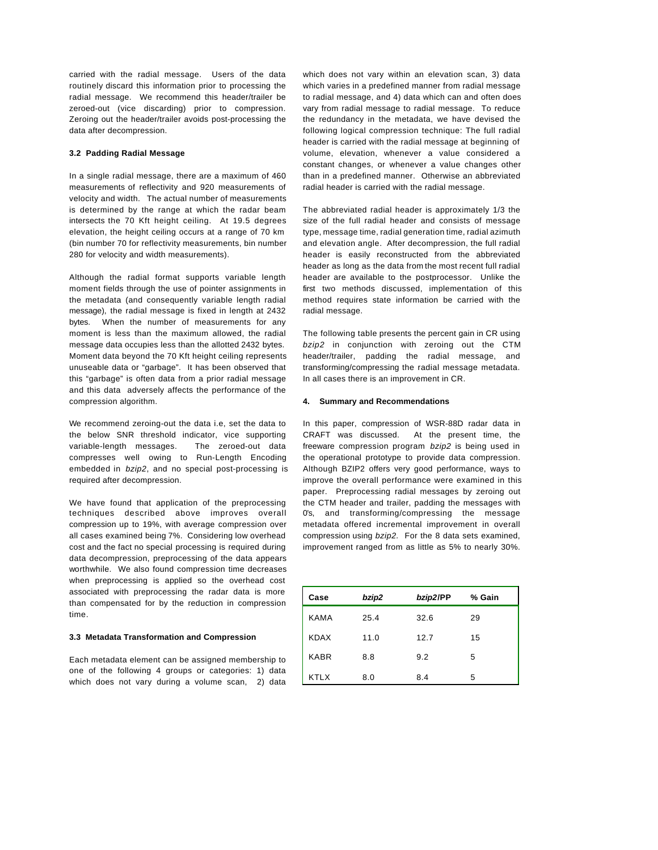carried with the radial message. Users of the data routinely discard this information prior to processing the radial message. We recommend this header/trailer be zeroed-out (vice discarding) prior to compression. Zeroing out the header/trailer avoids post-processing the data after decompression.

## **3.2 Padding Radial Message**

In a single radial message, there are a maximum of 460 measurements of reflectivity and 920 measurements of velocity and width. The actual number of measurements is determined by the range at which the radar beam intersects the 70 Kft height ceiling. At 19.5 degrees elevation, the height ceiling occurs at a range of 70 km (bin number 70 for reflectivity measurements, bin number 280 for velocity and width measurements).

Although the radial format supports variable length moment fields through the use of pointer assignments in the metadata (and consequently variable length radial message), the radial message is fixed in length at 2432 bytes. When the number of measurements for any moment is less than the maximum allowed, the radial message data occupies less than the allotted 2432 bytes. Moment data beyond the 70 Kft height ceiling represents unuseable data or "garbage". It has been observed that this "garbage" is often data from a prior radial message and this data adversely affects the performance of the compression algorithm.

We recommend zeroing-out the data i.e, set the data to the below SNR threshold indicator, vice supporting variable-length messages. The zeroed-out data compresses well owing to Run-Length Encoding embedded in *bzip2*, and no special post-processing is required after decompression.

We have found that application of the preprocessing techniques described above improves overall compression up to 19%, with average compression over all cases examined being 7%. Considering low overhead cost and the fact no special processing is required during data decompression, preprocessing of the data appears worthwhile. We also found compression time decreases when preprocessing is applied so the overhead cost associated with preprocessing the radar data is more than compensated for by the reduction in compression time.

# **3.3 Metadata Transformation and Compression**

Each metadata element can be assigned membership to one of the following 4 groups or categories: 1) data which does not vary during a volume scan, 2) data which does not vary within an elevation scan, 3) data which varies in a predefined manner from radial message to radial message, and 4) data which can and often does vary from radial message to radial message. To reduce the redundancy in the metadata, we have devised the following logical compression technique: The full radial header is carried with the radial message at beginning of volume, elevation, whenever a value considered a constant changes, or whenever a value changes other than in a predefined manner. Otherwise an abbreviated radial header is carried with the radial message.

The abbreviated radial header is approximately 1/3 the size of the full radial header and consists of message type, message time, radial generation time, radial azimuth and elevation angle. After decompression, the full radial header is easily reconstructed from the abbreviated header as long as the data from the most recent full radial header are available to the postprocessor. Unlike the first two methods discussed, implementation of this method requires state information be carried with the radial message.

The following table presents the percent gain in CR using *bzip2* in conjunction with zeroing out the CTM header/trailer, padding the radial message, and transforming/compressing the radial message metadata. In all cases there is an improvement in CR.

### **4. Summary and Recommendations**

In this paper, compression of WSR-88D radar data in CRAFT was discussed. At the present time, the freeware compression program *bzip2* is being used in the operational prototype to provide data compression. Although BZIP2 offers very good performance, ways to improve the overall performance were examined in this paper. Preprocessing radial messages by zeroing out the CTM header and trailer, padding the messages with 0's, and transforming/compressing the message metadata offered incremental improvement in overall compression using *bzip2.* For the 8 data sets examined, improvement ranged from as little as 5% to nearly 30%.

| Case        | bzip2 | bzip2/PP | % Gain |
|-------------|-------|----------|--------|
| <b>KAMA</b> | 25.4  | 32.6     | 29     |
| <b>KDAX</b> | 11.0  | 12.7     | 15     |
| <b>KABR</b> | 8.8   | 9.2      | 5      |
| <b>KTLX</b> | 8.0   | 8.4      | 5      |